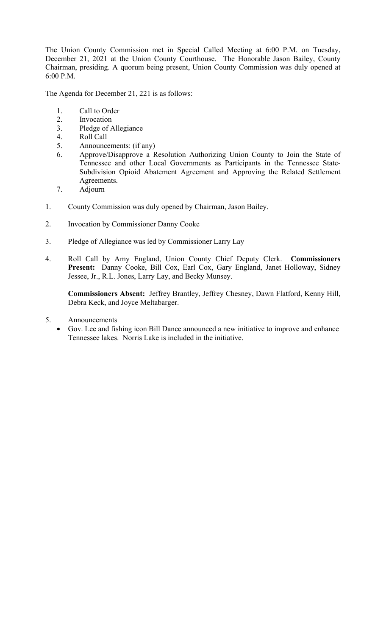The Union County Commission met in Special Called Meeting at 6:00 P.M. on Tuesday, December 21, 2021 at the Union County Courthouse. The Honorable Jason Bailey, County Chairman, presiding. A quorum being present, Union County Commission was duly opened at 6:00 P.M.

The Agenda for December 21, 221 is as follows:

- 1. Call to Order
- 2. Invocation
- 3. Pledge of Allegiance
- 4. Roll Call
- 5. Announcements: (if any)
- 6. Approve/Disapprove a Resolution Authorizing Union County to Join the State of Tennessee and other Local Governments as Participants in the Tennessee State-Subdivision Opioid Abatement Agreement and Approving the Related Settlement Agreements.
- 7. Adjourn
- 1. County Commission was duly opened by Chairman, Jason Bailey.
- 2. Invocation by Commissioner Danny Cooke
- 3. Pledge of Allegiance was led by Commissioner Larry Lay
- 4. Roll Call by Amy England, Union County Chief Deputy Clerk. **Commissioners Present:** Danny Cooke, Bill Cox, Earl Cox, Gary England, Janet Holloway, Sidney Jessee, Jr., R.L. Jones, Larry Lay, and Becky Munsey.

**Commissioners Absent:** Jeffrey Brantley, Jeffrey Chesney, Dawn Flatford, Kenny Hill, Debra Keck, and Joyce Meltabarger.

- 5. Announcements
	- Gov. Lee and fishing icon Bill Dance announced a new initiative to improve and enhance Tennessee lakes. Norris Lake is included in the initiative.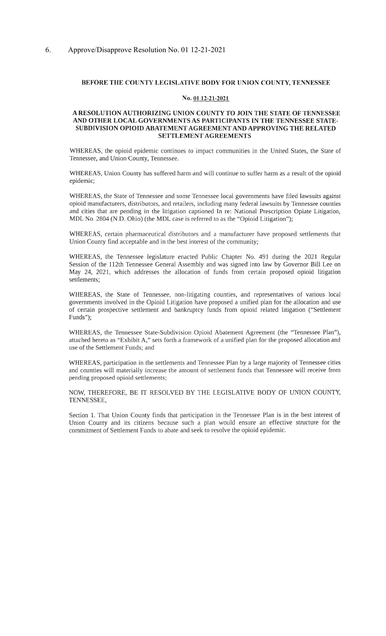## BEFORE THE COUNTY LEGISLATIVE BODY FOR UNION COUNTY, TENNESSEE

## No. 01 12-21-2021

# A RESOLUTION AUTHORIZING UNION COUNTY TO JOIN THE STATE OF TENNESSEE AND OTHER LOCAL GOVERNMENTS AS PARTICIPANTS IN THE TENNESSEE STATE-SUBDIVISION OPIOID ABATEMENT AGREEMENT AND APPROVING THE RELATED **SETTLEMENT AGREEMENTS**

WHEREAS, the opioid epidemic continues to impact communities in the United States, the State of Tennessee, and Union County, Tennessee.

WHEREAS, Union County has suffered harm and will continue to suffer harm as a result of the opioid epidemic;

WHEREAS, the State of Tennessee and some Tennessee local governments have filed lawsuits against opioid manufacturers, distributors, and retailers, including many federal lawsuits by Tennessee counties and cities that are pending in the litigation captioned In re: National Prescription Opiate Litigation, MDL No. 2804 (N.D. Ohio) (the MDL case is referred to as the "Opioid Litigation");

WHEREAS, certain pharmaceutical distributors and a manufacturer have proposed settlements that Union County find acceptable and in the best interest of the community;

WHEREAS, the Tennessee legislature enacted Public Chapter No. 491 during the 2021 Regular Session of the 112th Tennessee General Assembly and was signed into law by Governor Bill Lee on May 24, 2021, which addresses the allocation of funds from certain proposed opioid litigation settlements;

WHEREAS, the State of Tennessee, non-litigating counties, and representatives of various local governments involved in the Opioid Litigation have proposed a unified plan for the allocation and use of certain prospective settlement and bankruptcy funds from opioid related litigation ("Settlement Funds");

WHEREAS, the Tennessee State-Subdivision Opioid Abatement Agreement (the "Tennessee Plan"), attached hereto as "Exhibit A," sets forth a framework of a unified plan for the proposed allocation and use of the Settlement Funds; and

WHEREAS, participation in the settlements and Tennessee Plan by a large majority of Tennessee cities and counties will materially increase the amount of settlement funds that Tennessee will receive from pending proposed opioid settlements;

NOW, THEREFORE, BE IT RESOLVED BY THE LEGISLATIVE BODY OF UNION COUNTY, TENNESSEE,

Section 1. That Union County finds that participation in the Tennessee Plan is in the best interest of Union County and its citizens because such a plan would ensure an effective structure for the commitment of Settlement Funds to abate and seek to resolve the opioid epidemic.